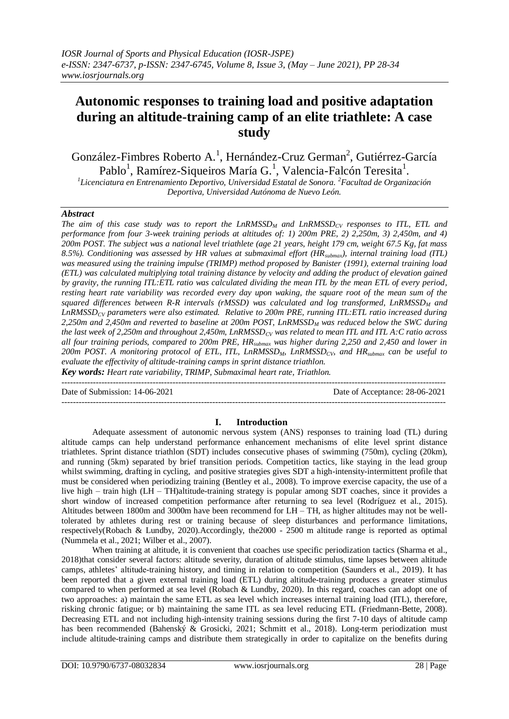# **Autonomic responses to training load and positive adaptation during an altitude-training camp of an elite triathlete: A case study**

González-Fimbres Roberto A.<sup>1</sup>, Hernández-Cruz German<sup>2</sup>, Gutiérrez-García Pablo<sup>1</sup>, Ramírez-Siqueiros María G.<sup>1</sup>, Valencia-Falcón Teresita<sup>1</sup>.

<sup>1</sup>Licenciatura en Entrenamiento Deportivo, Universidad Estatal de Sonora. <sup>2</sup> Facultad de Organización *Deportiva, Universidad Autónoma de Nuevo León.*

## *Abstract*

*The aim of this case study was to report the LnRMSSD<sup>M</sup> and LnRMSSDCV responses to ITL, ETL and performance from four 3-week training periods at altitudes of: 1) 200m PRE, 2) 2,250m, 3) 2,450m, and 4) 200m POST. The subject was a national level triathlete (age 21 years, height 179 cm, weight 67.5 Kg, fat mass 8.5%). Conditioning was assessed by HR values at submaximal effort (HRsubmax), internal training load (ITL) was measured using the training impulse (TRIMP) method proposed by Banister (1991), external training load (ETL) was calculated multiplying total training distance by velocity and adding the product of elevation gained by gravity, the running ITL:ETL ratio was calculated dividing the mean ITL by the mean ETL of every period, resting heart rate variability was recorded every day upon waking, the square root of the mean sum of the squared differences between R-R intervals (rMSSD) was calculated and log transformed, LnRMSSD<sup>M</sup> and LnRMSSDCV parameters were also estimated. Relative to 200m PRE, running ITL:ETL ratio increased during 2,250m and 2,450m and reverted to baseline at 200m POST, LnRMSSD<sup>M</sup> was reduced below the SWC during the last week of 2,250m and throughout 2,450m, LnRMSSDCV was related to mean ITL and ITL A:C ratio across all four training periods, compared to 200m PRE, HRsubmax was higher during 2,250 and 2,450 and lower in 200m POST. A monitoring protocol of ETL, ITL, LnRMSSDM, LnRMSSDCV, and HRsubmax can be useful to evaluate the effectivity of altitude-training camps in sprint distance triathlon.*

*Key words: Heart rate variability, TRIMP, Submaximal heart rate, Triathlon.*  $-1\leq i\leq n-1$ 

Date of Submission: 14-06-2021 Date of Acceptance: 28-06-2021

### **I. Introduction**

---------------------------------------------------------------------------------------------------------------------------------------

Adequate assessment of autonomic nervous system (ANS) responses to training load (TL) during altitude camps can help understand performance enhancement mechanisms of elite level sprint distance triathletes. Sprint distance triathlon (SDT) includes consecutive phases of swimming (750m), cycling (20km), and running (5km) separated by brief transition periods. Competition tactics, like staying in the lead group whilst swimming, drafting in cycling, and positive strategies gives SDT a high-intensity-intermittent profile that must be considered when periodizing training (Bentley et al., 2008). To improve exercise capacity, the use of a live high – train high (LH – TH)altitude-training strategy is popular among SDT coaches, since it provides a short window of increased competition performance after returning to sea level (Rodríguez et al., 2015). Altitudes between 1800m and 3000m have been recommend for  $LH - TH$ , as higher altitudes may not be welltolerated by athletes during rest or training because of sleep disturbances and performance limitations, respectively(Robach & Lundby, 2020).Accordingly, the2000 - 2500 m altitude range is reported as optimal (Nummela et al., 2021; Wilber et al., 2007).

When training at altitude, it is convenient that coaches use specific periodization tactics (Sharma et al., 2018)that consider several factors: altitude severity, duration of altitude stimulus, time lapses between altitude camps, athletes' altitude-training history, and timing in relation to competition (Saunders et al., 2019). It has been reported that a given external training load (ETL) during altitude-training produces a greater stimulus compared to when performed at sea level (Robach & Lundby, 2020). In this regard, coaches can adopt one of two approaches: a) maintain the same ETL as sea level which increases internal training load (ITL), therefore, risking chronic fatigue; or b) maintaining the same ITL as sea level reducing ETL (Friedmann-Bette, 2008). Decreasing ETL and not including high-intensity training sessions during the first 7-10 days of altitude camp has been recommended (Bahenský & Grosicki, 2021; Schmitt et al., 2018). Long-term periodization must include altitude-training camps and distribute them strategically in order to capitalize on the benefits during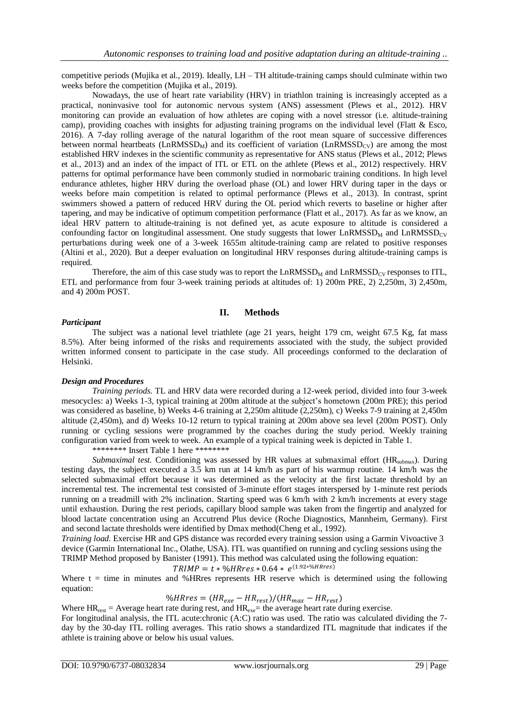competitive periods (Mujika et al., 2019). Ideally, LH – TH altitude-training camps should culminate within two weeks before the competition (Mujika et al., 2019).

Nowadays, the use of heart rate variability (HRV) in triathlon training is increasingly accepted as a practical, noninvasive tool for autonomic nervous system (ANS) assessment (Plews et al., 2012). HRV monitoring can provide an evaluation of how athletes are coping with a novel stressor (i.e. altitude-training camp), providing coaches with insights for adjusting training programs on the individual level (Flatt & Esco, 2016). A 7-day rolling average of the natural logarithm of the root mean square of successive differences between normal heartbeats (LnRMSSD<sub>M</sub>) and its coefficient of variation (LnRMSSD<sub>CV</sub>) are among the most established HRV indexes in the scientific community as representative for ANS status (Plews et al., 2012; Plews et al., 2013) and an index of the impact of ITL or ETL on the athlete (Plews et al., 2012) respectively. HRV patterns for optimal performance have been commonly studied in normobaric training conditions. In high level endurance athletes, higher HRV during the overload phase (OL) and lower HRV during taper in the days or weeks before main competition is related to optimal performance (Plews et al., 2013). In contrast, sprint swimmers showed a pattern of reduced HRV during the OL period which reverts to baseline or higher after tapering, and may be indicative of optimum competition performance (Flatt et al., 2017). As far as we know, an ideal HRV pattern to altitude-training is not defined yet, as acute exposure to altitude is considered a confounding factor on longitudinal assessment. One study suggests that lower  $\text{LnRMSSD}_{M}$  and  $\text{LnRMSSD}_{CV}$ perturbations during week one of a 3-week 1655m altitude-training camp are related to positive responses (Altini et al., 2020). But a deeper evaluation on longitudinal HRV responses during altitude-training camps is required.

Therefore, the aim of this case study was to report the  $LnRMSSD_M$  and  $LnRMSSD_{CY}$  responses to ITL, ETL and performance from four 3-week training periods at altitudes of: 1) 200m PRE, 2) 2,250m, 3) 2,450m, and 4) 200m POST.

# **II. Methods**

# *Participant*

The subject was a national level triathlete (age 21 years, height 179 cm, weight 67.5 Kg, fat mass 8.5%). After being informed of the risks and requirements associated with the study, the subject provided written informed consent to participate in the case study. All proceedings conformed to the declaration of Helsinki.

# *Design and Procedures*

*Training periods.* TL and HRV data were recorded during a 12-week period, divided into four 3-week mesocycles: a) Weeks 1-3, typical training at 200m altitude at the subject's hometown (200m PRE); this period was considered as baseline, b) Weeks 4-6 training at 2,250m altitude (2,250m), c) Weeks 7-9 training at 2,450m altitude (2,450m), and d) Weeks 10-12 return to typical training at 200m above sea level (200m POST). Only running or cycling sessions were programmed by the coaches during the study period. Weekly training configuration varied from week to week. An example of a typical training week is depicted in Table 1.

\*\*\*\*\*\*\*\* Insert Table 1 here \*\*\*\*\*\*\*\*

*Submaximal test.* Conditioning was assessed by HR values at submaximal effort (HR<sub>submax</sub>). During testing days, the subject executed a 3.5 km run at 14 km/h as part of his warmup routine. 14 km/h was the selected submaximal effort because it was determined as the velocity at the first lactate threshold by an incremental test. The incremental test consisted of 3-minute effort stages interspersed by 1-minute rest periods running on a treadmill with 2% inclination. Starting speed was 6 km/h with 2 km/h increments at every stage until exhaustion. During the rest periods, capillary blood sample was taken from the fingertip and analyzed for blood lactate concentration using an Accutrend Plus device (Roche Diagnostics, Mannheim, Germany). First and second lactate thresholds were identified by Dmax method(Cheng et al., 1992).

*Training load.* Exercise HR and GPS distance was recorded every training session using a Garmin Vivoactive 3 device (Garmin International Inc., Olathe, USA). ITL was quantified on running and cycling sessions using the TRIMP Method proposed by Banister (1991). This method was calculated using the following equation:<br> $TRIMP - t * 0.6HProc * 0.6A * o(1.92*) 6HPrec$ 

$$
TRIMP = t * \% HRres * 0.64 * e^{(1.92*)\%}
$$

Where  $t =$  time in minutes and % HRres represents HR reserve which is determined using the following equation:

%HRres =  $(HR_{exe} - HR_{rest})/(HR_{max} - HR_{rest})$ 

Where  $HR_{rest} = Average$  heart rate during rest, and  $HR_{exe} =$  the average heart rate during exercise.

For longitudinal analysis, the ITL acute:chronic (A:C) ratio was used. The ratio was calculated dividing the 7 day by the 30-day ITL rolling averages. This ratio shows a standardized ITL magnitude that indicates if the athlete is training above or below his usual values.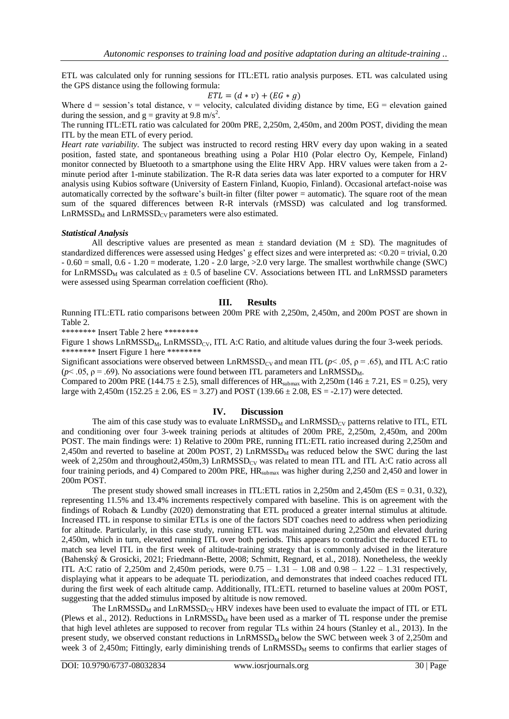ETL was calculated only for running sessions for ITL:ETL ratio analysis purposes. ETL was calculated using the GPS distance using the following formula:

$$
ETL = (d * v) + (EG * g)
$$

Where  $d =$  session's total distance,  $v =$  velocity, calculated dividing distance by time,  $EG =$  elevation gained during the session, and  $g =$  gravity at 9.8 m/s<sup>2</sup>.

The running ITL:ETL ratio was calculated for 200m PRE, 2,250m, 2,450m, and 200m POST, dividing the mean ITL by the mean ETL of every period.

*Heart rate variability.* The subject was instructed to record resting HRV every day upon waking in a seated position, fasted state, and spontaneous breathing using a Polar H10 (Polar electro Oy, Kempele, Finland) monitor connected by Bluetooth to a smartphone using the Elite HRV App. HRV values were taken from a 2 minute period after 1-minute stabilization. The R-R data series data was later exported to a computer for HRV analysis using Kubios software (University of Eastern Finland, Kuopio, Finland). Occasional artefact-noise was automatically corrected by the software's built-in filter (filter power = automatic). The square root of the mean sum of the squared differences between R-R intervals (rMSSD) was calculated and log transformed.  $LnRMSSD<sub>M</sub>$  and  $LnRMSSD<sub>CV</sub>$  parameters were also estimated.

### *Statistical Analysis*

All descriptive values are presented as mean  $\pm$  standard deviation (M  $\pm$  SD). The magnitudes of standardized differences were assessed using Hedges' g effect sizes and were interpreted as: <0.20 = trivial, 0.20  $-0.60$  = small,  $0.6 - 1.20$  = moderate,  $1.20 - 2.0$  large,  $>2.0$  very large. The smallest worthwhile change (SWC) for LnRMSSD<sub>M</sub> was calculated as  $\pm$  0.5 of baseline CV. Associations between ITL and LnRMSSD parameters were assessed using Spearman correlation coefficient (Rho).

### **III. Results**

Running ITL:ETL ratio comparisons between 200m PRE with 2,250m, 2,450m, and 200m POST are shown in Table 2.

\*\*\*\*\*\*\*\* Insert Table 2 here \*\*\*\*\*\*\*\*

Figure 1 shows  $\text{LnRMSSD}_{\text{M}}$ ,  $\text{LnRMSSD}_{\text{CV}}$ , ITL A:C Ratio, and altitude values during the four 3-week periods. \*\*\*\*\*\*\*\*\* Insert Figure 1 here \*\*\*\*\*\*\*\*\*

Significant associations were observed between LnRMSSD<sub>CV</sub> and mean ITL ( $p$ < .05,  $\rho$  = .65), and ITL A:C ratio  $(p< .05, p = .69)$ . No associations were found between ITL parameters and LnRMSSD<sub>M</sub>.

Compared to 200m PRE (144.75  $\pm$  2.5), small differences of HR<sub>submax</sub> with 2,250m (146  $\pm$  7.21, ES = 0.25), very large with 2,450m (152.25  $\pm$  2.06, ES = 3.27) and POST (139.66  $\pm$  2.08, ES = -2.17) were detected.

### **IV. Discussion**

The aim of this case study was to evaluate  $\text{LnRMSSD}_{\text{M}}$  and  $\text{LnRMSSD}_{\text{CV}}$  patterns relative to ITL, ETL and conditioning over four 3-week training periods at altitudes of 200m PRE, 2,250m, 2,450m, and 200m POST. The main findings were: 1) Relative to 200m PRE, running ITL:ETL ratio increased during 2,250m and 2,450m and reverted to baseline at 200m POST, 2)  $\text{LnRMSSD}_{\text{M}}$  was reduced below the SWC during the last week of 2,250m and throughout2,450m,3)  $\text{LnRMSSD}_{CV}$  was related to mean ITL and ITL A:C ratio across all four training periods, and 4) Compared to 200m PRE,  $HR_{\text{submax}}$  was higher during 2,250 and 2,450 and lower in 200m POST.

The present study showed small increases in ITL:ETL ratios in 2,250m and 2,450m (ES = 0.31, 0.32), representing 11.5% and 13.4% increments respectively compared with baseline. This is on agreement with the findings of Robach & Lundby (2020) demonstrating that ETL produced a greater internal stimulus at altitude. Increased ITL in response to similar ETLs is one of the factors SDT coaches need to address when periodizing for altitude. Particularly, in this case study, running ETL was maintained during 2,250m and elevated during 2,450m, which in turn, elevated running ITL over both periods. This appears to contradict the reduced ETL to match sea level ITL in the first week of altitude-training strategy that is commonly advised in the literature (Bahenský & Grosicki, 2021; Friedmann-Bette, 2008; Schmitt, Regnard, et al., 2018). Nonetheless, the weekly ITL A:C ratio of 2,250m and 2,450m periods, were  $0.75 - 1.31 - 1.08$  and  $0.98 - 1.22 - 1.31$  respectively, displaying what it appears to be adequate TL periodization, and demonstrates that indeed coaches reduced ITL during the first week of each altitude camp. Additionally, ITL:ETL returned to baseline values at 200m POST, suggesting that the added stimulus imposed by altitude is now removed.

The LnRMSSD<sub>M</sub> and LnRMSSD<sub>CV</sub> HRV indexes have been used to evaluate the impact of ITL or ETL (Plews et al., 2012). Reductions in LnRMSSD<sub>M</sub> have been used as a marker of TL response under the premise that high level athletes are supposed to recover from regular TLs within 24 hours (Stanley et al., 2013). In the present study, we observed constant reductions in  $\text{LnRMSSD}_M$  below the SWC between week 3 of 2,250m and week 3 of 2,450m; Fittingly, early diminishing trends of  $\text{LnRMSSD}_M$  seems to confirms that earlier stages of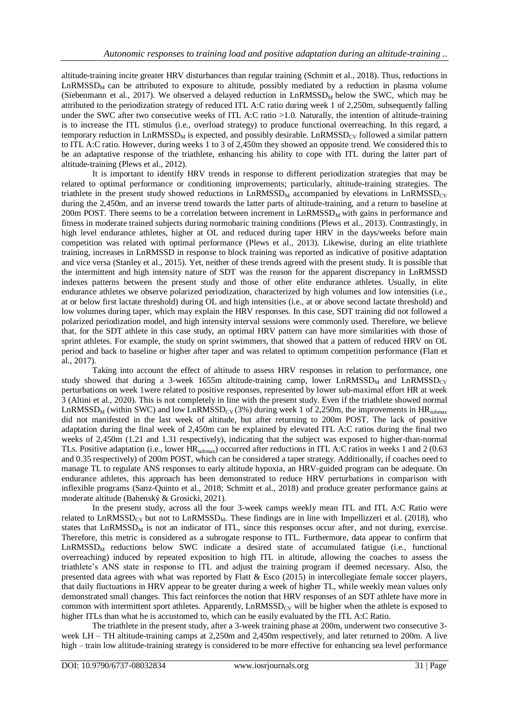altitude-training incite greater HRV disturbances than regular training (Schmitt et al., 2018). Thus, reductions in  $LnRMSSD<sub>M</sub>$  can be attributed to exposure to altitude, possibly mediated by a reduction in plasma volume (Siebenmann et al., 2017). We observed a delayed reduction in  $\text{LnRMSSD}_M$  below the SWC, which may be attributed to the periodization strategy of reduced ITL A:C ratio during week 1 of 2,250m, subsequently falling under the SWC after two consecutive weeks of ITL A:C ratio >1.0. Naturally, the intention of altitude-training is to increase the ITL stimulus (i.e., overload strategy) to produce functional overreaching. In this regard, a temporary reduction in LnRMSSD<sub>M</sub> is expected, and possibly desirable. LnRMSSD<sub>CV</sub> followed a similar pattern to ITL A:C ratio. However, during weeks 1 to 3 of 2,450m they showed an opposite trend. We considered this to be an adaptative response of the triathlete, enhancing his ability to cope with ITL during the latter part of altitude-training (Plews et al., 2012).

It is important to identify HRV trends in response to different periodization strategies that may be related to optimal performance or conditioning improvements; particularly, altitude-training strategies. The triathlete in the present study showed reductions in LnRMSSD<sub>M</sub> accompanied by elevations in LnRMSSD<sub>CV</sub> during the 2,450m, and an inverse trend towards the latter parts of altitude-training, and a return to baseline at  $200m$  POST. There seems to be a correlation between increment in  $LnRMSSD<sub>M</sub>$  with gains in performance and fitness in moderate trained subjects during normobaric training conditions (Plews et al., 2013). Contrastingly, in high level endurance athletes, higher at OL and reduced during taper HRV in the days/weeks before main competition was related with optimal performance (Plews et al., 2013). Likewise, during an elite triathlete training, increases in LnRMSSD in response to block training was reported as indicative of positive adaptation and vice versa (Stanley et al., 2015). Yet, neither of these trends agreed with the present study. It is possible that the intermittent and high intensity nature of SDT was the reason for the apparent discrepancy in LnRMSSD indexes patterns between the present study and those of other elite endurance athletes. Usually, in elite endurance athletes we observe polarized periodization, characterized by high volumes and low intensities (i.e., at or below first lactate threshold) during OL and high intensities (i.e., at or above second lactate threshold) and low volumes during taper, which may explain the HRV responses. In this case, SDT training did not followed a polarized periodization model, and high intensity interval sessions were commonly used. Therefore, we believe that, for the SDT athlete in this case study, an optimal HRV pattern can have more similarities with those of sprint athletes. For example, the study on sprint swimmers, that showed that a pattern of reduced HRV on OL period and back to baseline or higher after taper and was related to optimum competition performance (Flatt et al., 2017).

Taking into account the effect of altitude to assess HRV responses in relation to performance, one study showed that during a 3-week 1655m altitude-training camp, lower LnRMSSD<sub>M</sub> and LnRMSSD<sub>CV</sub> perturbations on week 1were related to positive responses, represented by lower sub-maximal effort HR at week 3 (Altini et al., 2020). This is not completely in line with the present study. Even if the triathlete showed normal LnRMSSD<sub>M</sub> (within SWC) and low LnRMSSD<sub>CV</sub> (3%) during week 1 of 2,250m, the improvements in HR<sub>submax</sub> did not manifested in the last week of altitude, but after returning to 200m POST. The lack of positive adaptation during the final week of 2,450m can be explained by elevated ITL A:C ratios during the final two weeks of 2,450m (1.21 and 1.31 respectively), indicating that the subject was exposed to higher-than-normal TLs. Positive adaptation (i.e., lower HR<sub>submax</sub>) occurred after reductions in ITL A:C ratios in weeks 1 and 2 (0.63 and 0.35 respectively) of 200m POST, which can be considered a taper strategy. Additionally, if coaches need to manage TL to regulate ANS responses to early altitude hypoxia, an HRV-guided program can be adequate. On endurance athletes, this approach has been demonstrated to reduce HRV perturbations in comparison with inflexible programs (Sanz-Quinto et al., 2018; Schmitt et al., 2018) and produce greater performance gains at moderate altitude (Bahenský & Grosicki, 2021).

In the present study, across all the four 3-week camps weekly mean ITL and ITL A:C Ratio were related to  $LnRMSSD_{CV}$  but not to  $LnRMSSD_M$ . These findings are in line with Impellizzeri et al. (2018), who states that  $\text{LnRMSSD}_M$  is not an indicator of ITL, since this responses occur after, and not during, exercise. Therefore, this metric is considered as a subrogate response to ITL. Furthermore, data appear to confirm that  $LnRMSSD<sub>M</sub>$  reductions below SWC indicate a desired state of accumulated fatigue (i.e., functional overreaching) induced by repeated exposition to high ITL in altitude, allowing the coaches to assess the triathlete's ANS state in response to ITL and adjust the training program if deemed necessary. Also, the presented data agrees with what was reported by Flatt & Esco (2015) in intercollegiate female soccer players, that daily fluctuations in HRV appear to be greater during a week of higher TL, while weekly mean values only demonstrated small changes. This fact reinforces the notion that HRV responses of an SDT athlete have more in common with intermittent sport athletes. Apparently,  $\text{LnRMSSD}_{CV}$  will be higher when the athlete is exposed to higher ITLs than what he is accustomed to, which can be easily evaluated by the ITL A:C Ratio.

The triathlete in the present study, after a 3-week training phase at 200m, underwent two consecutive 3 week LH – TH altitude-training camps at 2,250m and 2,450m respectively, and later returned to 200m. A live high – train low altitude-training strategy is considered to be more effective for enhancing sea level performance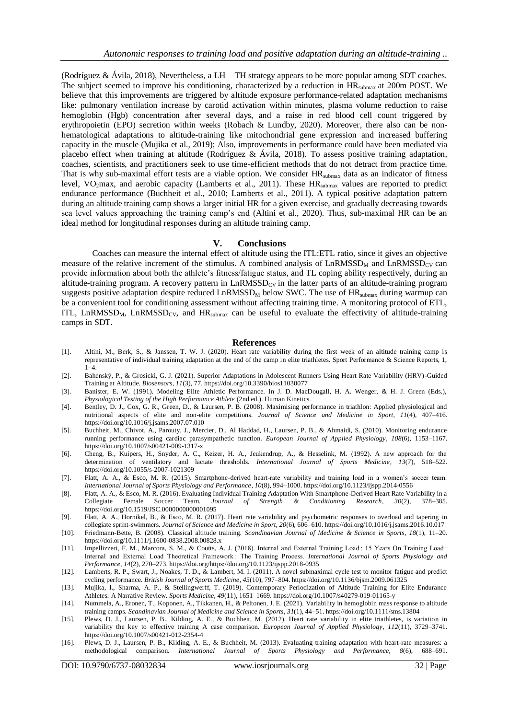(Rodríguez & Ávila, 2018), Nevertheless, a LH – TH strategy appears to be more popular among SDT coaches. The subject seemed to improve his conditioning, characterized by a reduction in  $HR_{\text{submax}}$  at 200m POST. We believe that this improvements are triggered by altitude exposure performance-related adaptation mechanisms like: pulmonary ventilation increase by carotid activation within minutes, plasma volume reduction to raise hemoglobin (Hgb) concentration after several days, and a raise in red blood cell count triggered by erythropoietin (EPO) secretion within weeks (Robach & Lundby, 2020). Moreover, there also can be nonhematological adaptations to altitude-training like mitochondrial gene expression and increased buffering capacity in the muscle (Mujika et al., 2019); Also, improvements in performance could have been mediated via placebo effect when training at altitude (Rodríguez & Ávila, 2018). To assess positive training adaptation, coaches, scientists, and practitioners seek to use time-efficient methods that do not detract from practice time. That is why sub-maximal effort tests are a viable option. We consider HR<sub>submax</sub> data as an indicator of fitness level, VO<sub>2</sub>max, and aerobic capacity (Lamberts et al., 2011). These  $HR_{\text{submax}}$  values are reported to predict endurance performance (Buchheit et al., 2010; Lamberts et al., 2011). A typical positive adaptation pattern during an altitude training camp shows a larger initial HR for a given exercise, and gradually decreasing towards sea level values approaching the training camp's end (Altini et al., 2020). Thus, sub-maximal HR can be an ideal method for longitudinal responses during an altitude training camp.

#### **V. Conclusions**

Coaches can measure the internal effect of altitude using the ITL:ETL ratio, since it gives an objective measure of the relative increment of the stimulus. A combined analysis of  $\text{LnRMSSD}_{\text{M}}$  and  $\text{LnRMSSD}_{\text{CY}}$  can provide information about both the athlete's fitness/fatigue status, and TL coping ability respectively, during an altitude-training program. A recovery pattern in  $LnRMSSD<sub>CV</sub>$  in the latter parts of an altitude-training program suggests positive adaptation despite reduced  $\text{LnRMSSD}_{\text{M}}$  below SWC. The use of  $\text{HR}_{\text{submax}}$  during warmup can be a convenient tool for conditioning assessment without affecting training time. A monitoring protocol of ETL, ITL, LnRMSSD<sub>M</sub>, LnRMSSD<sub>CV</sub>, and HR<sub>submax</sub> can be useful to evaluate the effectivity of altitude-training camps in SDT.

#### **References**

- [1]. Altini, M., Berk, S., & Janssen, T. W. J. (2020). Heart rate variability during the first week of an altitude training camp is representative of individual training adaptation at the end of the camp in elite triathletes. Sport Performance & Science Reports, 1,  $1 - 4$ .
- [2]. Bahenský, P., & Grosicki, G. J. (2021). Superior Adaptations in Adolescent Runners Using Heart Rate Variability (HRV)-Guided Training at Altitude. *Biosensors*, *11*(3), 77. https://doi.org/10.3390/bios11030077
- [3]. Banister, E. W. (1991). Modeling Elite Athletic Performance. In J. D. MacDougall, H. A. Wenger, & H. J. Green (Eds.), *Physiological Testing of the High Performance Athlete* (2nd ed.). Human Kinetics.
- [4]. Bentley, D. J., Cox, G. R., Green, D., & Laursen, P. B. (2008). Maximising performance in triathlon: Applied physiological and nutritional aspects of elite and non-elite competitions. *Journal of Science and Medicine in Sport*, *11*(4), 407–416. https://doi.org/10.1016/j.jsams.2007.07.010
- [5]. Buchheit, M., Chivot, A., Parouty, J., Mercier, D., Al Haddad, H., Laursen, P. B., & Ahmaidi, S. (2010). Monitoring endurance running performance using cardiac parasympathetic function. *European Journal of Applied Physiology*, *108*(6), 1153–1167. https://doi.org/10.1007/s00421-009-1317-x
- [6]. Cheng, B., Kuipers, H., Snyder, A. C., Keizer, H. A., Jeukendrup, A., & Hesselink, M. (1992). A new approach for the determination of ventilatory and lactate thresholds. *International Journal of Sports Medicine*, *13*(7), 518–522. https://doi.org/10.1055/s-2007-1021309
- [7]. Flatt, A. A., & Esco, M. R. (2015). Smartphone-derived heart-rate variability and training load in a women's soccer team. *International Journal of Sports Physiology and Performance*, *10*(8), 994–1000. https://doi.org/10.1123/ijspp.2014-0556
- [8]. Flatt, A. A., & Esco, M. R. (2016). Evaluating Individual Training Adaptation With Smartphone-Derived Heart Rate Variability in a Collegiate Female Soccer Team. Journal of Strength & Conditioning Research, 30(2), 378– Team. *Journal of Strength & Conditioning Research*, 30(2), 378–385. https://doi.org/10.1519/JSC.0000000000001095
- [9]. Flatt, A. A., Hornikel, B., & Esco, M. R. (2017). Heart rate variability and psychometric responses to overload and tapering in collegiate sprint-swimmers. *Journal of Science and Medicine in Sport*, *20*(6), 606–610. https://doi.org/10.1016/j.jsams.2016.10.017
- [10]. Friedmann-Bette, B. (2008). Classical altitude training. *Scandinavian Journal of Medicine & Science in Sports*, *18*(1), 11–20. https://doi.org/10.1111/j.1600-0838.2008.00828.x
- [11]. Impellizzeri, F. M., Marcora, S. M., & Coutts, A. J. (2018). Internal and External Training Load : 15 Years On Training Load : Internal and External Load Theoretical Framework : The Training Process. *International Journal of Sports Physiology and Performance*, *14*(2), 270–273. https://doi.org/https://doi.org/10.1123/ijspp.2018-0935
- [12]. Lamberts, R. P., Swart, J., Noakes, T. D., & Lambert, M. I. (2011). A novel submaximal cycle test to monitor fatigue and predict cycling performance. *British Journal of Sports Medicine*, *45*(10), 797–804. https://doi.org/10.1136/bjsm.2009.061325
- [13]. Mujika, I., Sharma, A. P., & Stellingwerff, T. (2019). Contemporary Periodization of Altitude Training for Elite Endurance Athletes: A Narrative Review. *Sports Medicine*, *49*(11), 1651–1669. https://doi.org/10.1007/s40279-019-01165-y
- [14]. Nummela, A., Eronen, T., Koponen, A., Tikkanen, H., & Peltonen, J. E. (2021). Variability in hemoglobin mass response to altitude training camps. *Scandinavian Journal of Medicine and Science in Sports*, *31*(1), 44–51. https://doi.org/10.1111/sms.13804
- [15]. Plews, D. J., Laursen, P. B., Kilding, A. E., & Buchheit, M. (2012). Heart rate variability in elite triathletes, is variation in variability the key to effective training A case comparison. *European Journal of Applied Physiology*, *112*(11), 3729–3741. https://doi.org/10.1007/s00421-012-2354-4
- [16]. Plews, D. J., Laursen, P. B., Kilding, A. E., & Buchheit, M. (2013). Evaluating training adaptation with heart-rate measures: a methodological comparison. *International Journal of Sports Physiology and Performance*, *8*(6), 688–691.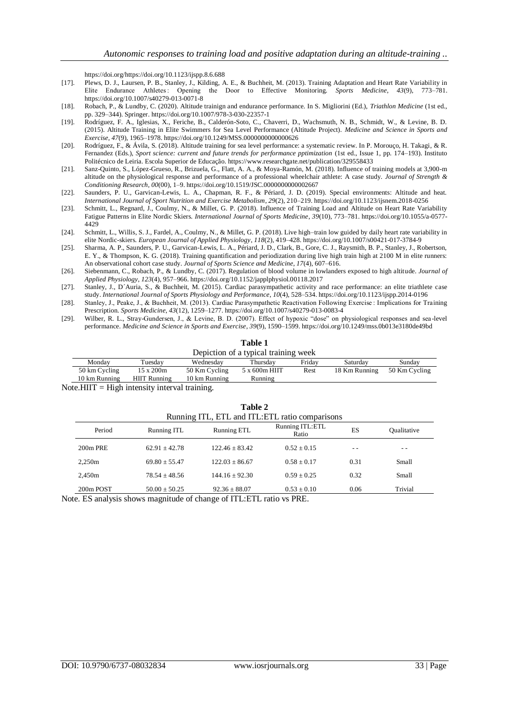https://doi.org/https://doi.org/10.1123/ijspp.8.6.688

- [17]. Plews, D. J., Laursen, P. B., Stanley, J., Kilding, A. E., & Buchheit, M. (2013). Training Adaptation and Heart Rate Variability in Elite Endurance Athletes : Opening the Door to Effective Monitoring. *Sports Medicine*, *43*(9), 773–781. https://doi.org/10.1007/s40279-013-0071-8
- [18]. Robach, P., & Lundby, C. (2020). Altitude trainign and endurance performance. In S. Migliorini (Ed.), *Triathlon Medicine* (1st ed., pp. 329–344). Springer. https://doi.org/10.1007/978-3-030-22357-1
- [19]. Rodríguez, F. A., Iglesias, X., Feriche, B., Calderón-Soto, C., Chaverri, D., Wachsmuth, N. B., Schmidt, W., & Levine, B. D. (2015). Altitude Training in Elite Swimmers for Sea Level Performance (Altitude Project). *Medicine and Science in Sports and Exercise*, *47*(9), 1965–1978. https://doi.org/10.1249/MSS.0000000000000626
- [20]. Rodríguez, F., & Ávila, S. (2018). Altitude training for sea level performance: a systematic review. In P. Morouço, H. Takagi, & R. Fernandez (Eds.), *Sport science: current and future trends for performance pptimization* (1st ed., Issue 1, pp. 174–193). Instituto Politécnico de Leiria. Escola Superior de Educação. https://www.researchgate.net/publication/329558433
- [21]. Sanz-Quinto, S., López-Grueso, R., Brizuela, G., Flatt, A. A., & Moya-Ramón, M. (2018). Influence of training models at 3,900-m altitude on the physiological response and performance of a professional wheelchair athlete: A case study. *Journal of Strength & Conditioning Research*, *00*(00), 1–9. https://doi.org/10.1519/JSC.0000000000002667
- [22]. Saunders, P. U., Garvican-Lewis, L. A., Chapman, R. F., & Périard, J. D. (2019). Special environments: Altitude and heat. *International Journal of Sport Nutrition and Exercise Metabolism*, *29*(2), 210–219. https://doi.org/10.1123/ijsnem.2018-0256
- [23]. Schmitt, L., Regnard, J., Coulmy, N., & Millet, G. P. (2018). Influence of Training Load and Altitude on Heart Rate Variability Fatigue Patterns in Elite Nordic Skiers. *International Journal of Sports Medicine*, *39*(10), 773–781. https://doi.org/10.1055/a-0577- 4429
- [24]. Schmitt, L., Willis, S. J., Fardel, A., Coulmy, N., & Millet, G. P. (2018). Live high–train low guided by daily heart rate variability in elite Nordic-skiers. *European Journal of Applied Physiology*, *118*(2), 419–428. https://doi.org/10.1007/s00421-017-3784-9
- [25]. Sharma, A. P., Saunders, P. U., Garvican-Lewis, L. A., Périard, J. D., Clark, B., Gore, C. J., Raysmith, B. P., Stanley, J., Robertson, E. Y., & Thompson, K. G. (2018). Training quantification and periodization during live high train high at 2100 M in elite runners: An observational cohort case study. *Journal of Sports Science and Medicine*, *17*(4), 607–616.
- [26]. Siebenmann, C., Robach, P., & Lundby, C. (2017). Regulation of blood volume in lowlanders exposed to high altitude. *Journal of Applied Physiology*, *123*(4), 957–966. https://doi.org/10.1152/japplphysiol.00118.2017
- [27]. Stanley, J., D´Auria, S., & Buchheit, M. (2015). Cardiac parasympathetic activity and race performance: an elite triathlete case study. *International Journal of Sports Physiology and Performance*, *10*(4), 528–534. https://doi.org/10.1123/ijspp.2014-0196
- [28]. Stanley, J., Peake, J., & Buchheit, M. (2013). Cardiac Parasympathetic Reactivation Following Exercise : Implications for Training Prescription. *Sports Medicine*, *43*(12), 1259–1277. https://doi.org/10.1007/s40279-013-0083-4
- [29]. Wilber, R. L., Stray-Gundersen, J., & Levine, B. D. (2007). Effect of hypoxic "dose" on physiological responses and sea -level performance. *Medicine and Science in Sports and Exercise*, *39*(9), 1590–1599. https://doi.org/10.1249/mss.0b013e3180de49bd

| Table 1                              |                     |               |               |        |               |               |  |  |
|--------------------------------------|---------------------|---------------|---------------|--------|---------------|---------------|--|--|
| Depiction of a typical training week |                     |               |               |        |               |               |  |  |
| Monday                               | Tuesdav             | Wednesday     | Thursdav      | Fridav | Saturday      | Sunday        |  |  |
| 50 km Cycling                        | $15 \times 200$ m   | 50 Km Cycling | 5 x 600m HIIT | Rest   | 18 Km Running | 50 Km Cycling |  |  |
| 10 km Running                        | <b>HIIT Running</b> | 10 km Running | Running       |        |               |               |  |  |
| $- - - - - -$                        |                     |               |               |        |               |               |  |  |

Note. HIIT  $=$  High intensity interval training.

| Table 2                                         |                    |                          |                                                                 |                    |  |  |  |  |  |
|-------------------------------------------------|--------------------|--------------------------|-----------------------------------------------------------------|--------------------|--|--|--|--|--|
| Running ITL, ETL and ITL: ETL ratio comparisons |                    |                          |                                                                 |                    |  |  |  |  |  |
| Running ITL                                     | Running ETL        | Running ITL:ETL<br>Ratio | ES                                                              | <b>Qualitative</b> |  |  |  |  |  |
| $62.91 \pm 42.78$                               | $122.46 \pm 83.42$ | $0.52 \pm 0.15$          | - -                                                             |                    |  |  |  |  |  |
| $69.80 + 55.47$                                 | $122.03 + 86.67$   | $0.58 + 0.17$            | 0.31                                                            | Small              |  |  |  |  |  |
| $78.54 + 48.56$                                 | $144.16 \pm 92.30$ | $0.59 + 0.25$            | 0.32                                                            | Small              |  |  |  |  |  |
| $50.00 \pm 50.25$                               | $92.36 \pm 88.07$  | $0.53 \pm 0.10$          | 0.06                                                            | Trivial            |  |  |  |  |  |
|                                                 |                    |                          | o Effective charge moonitude of change of ITI .ETI matio we DDE |                    |  |  |  |  |  |

Note. ES analysis shows magnitude of change of ITL:ETL ratio vs PRE.